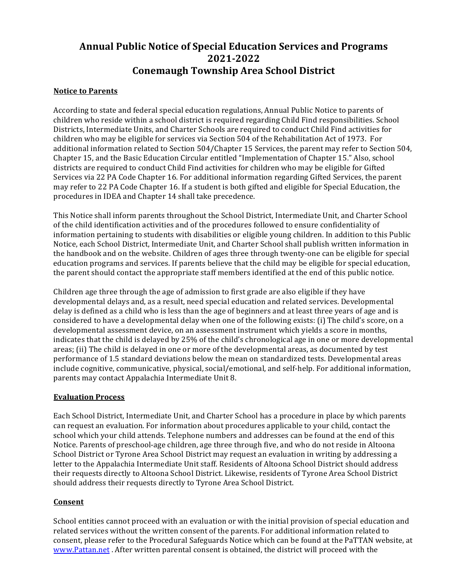# **Annual Public Notice of Special Education Services and Programs 2021-2022 Conemaugh Township Area School District**

# **Notice to Parents**

According to state and federal special education regulations, Annual Public Notice to parents of children who reside within a school district is required regarding Child Find responsibilities. School Districts, Intermediate Units, and Charter Schools are required to conduct Child Find activities for children who may be eligible for services via Section 504 of the Rehabilitation Act of 1973. For additional information related to Section 504/Chapter 15 Services, the parent may refer to Section 504, Chapter 15, and the Basic Education Circular entitled "Implementation of Chapter 15." Also, school districts are required to conduct Child Find activities for children who may be eligible for Gifted Services via 22 PA Code Chapter 16. For additional information regarding Gifted Services, the parent may refer to 22 PA Code Chapter 16. If a student is both gifted and eligible for Special Education, the procedures in IDEA and Chapter 14 shall take precedence.

This Notice shall inform parents throughout the School District, Intermediate Unit, and Charter School of the child identification activities and of the procedures followed to ensure confidentiality of information pertaining to students with disabilities or eligible young children. In addition to this Public Notice, each School District, Intermediate Unit, and Charter School shall publish written information in the handbook and on the website. Children of ages three through twenty-one can be eligible for special education programs and services. If parents believe that the child may be eligible for special education, the parent should contact the appropriate staff members identified at the end of this public notice.

Children age three through the age of admission to first grade are also eligible if they have developmental delays and, as a result, need special education and related services. Developmental delav is defined as a child who is less than the age of beginners and at least three years of age and is considered to have a developmental delay when one of the following exists: (i) The child's score, on a developmental assessment device, on an assessment instrument which yields a score in months, indicates that the child is delayed by 25% of the child's chronological age in one or more developmental areas; (ii) The child is delayed in one or more of the developmental areas, as documented by test performance of 1.5 standard deviations below the mean on standardized tests. Developmental areas include cognitive, communicative, physical, social/emotional, and self-help. For additional information, parents may contact Appalachia Intermediate Unit 8.

# **Evaluation Process**

Each School District, Intermediate Unit, and Charter School has a procedure in place by which parents can request an evaluation. For information about procedures applicable to your child, contact the school which your child attends. Telephone numbers and addresses can be found at the end of this Notice. Parents of preschool-age children, age three through five, and who do not reside in Altoona School District or Tyrone Area School District may request an evaluation in writing by addressing a letter to the Appalachia Intermediate Unit staff. Residents of Altoona School District should address their requests directly to Altoona School District. Likewise, residents of Tyrone Area School District should address their requests directly to Tyrone Area School District.

# **Consent**

School entities cannot proceed with an evaluation or with the initial provision of special education and related services without the written consent of the parents. For additional information related to consent, please refer to the Procedural Safeguards Notice which can be found at the PaTTAN website, at www.Pattan.net After written parental consent is obtained, the district will proceed with the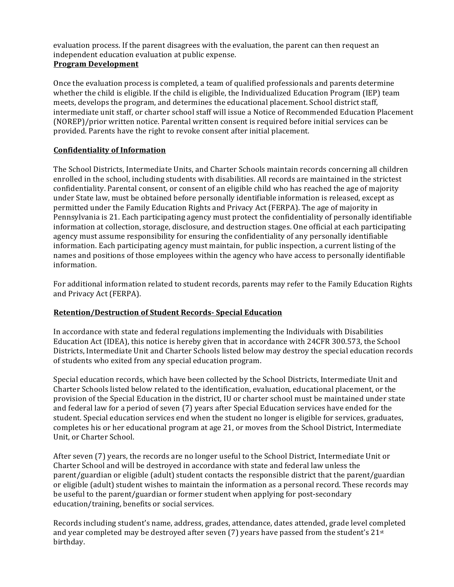evaluation process. If the parent disagrees with the evaluation, the parent can then request an independent education evaluation at public expense. **Program Development**

Once the evaluation process is completed, a team of qualified professionals and parents determine whether the child is eligible. If the child is eligible, the Individualized Education Program (IEP) team meets, develops the program, and determines the educational placement. School district staff, intermediate unit staff, or charter school staff will issue a Notice of Recommended Education Placement (NOREP)/prior written notice. Parental written consent is required before initial services can be provided. Parents have the right to revoke consent after initial placement.

# **Confidentiality of Information**

The School Districts, Intermediate Units, and Charter Schools maintain records concerning all children enrolled in the school, including students with disabilities. All records are maintained in the strictest confidentiality. Parental consent, or consent of an eligible child who has reached the age of majority under State law, must be obtained before personally identifiable information is released, except as permitted under the Family Education Rights and Privacy Act (FERPA). The age of majority in Pennsylvania is 21. Each participating agency must protect the confidentiality of personally identifiable information at collection, storage, disclosure, and destruction stages. One official at each participating agency must assume responsibility for ensuring the confidentiality of any personally identifiable information. Each participating agency must maintain, for public inspection, a current listing of the names and positions of those employees within the agency who have access to personally identifiable information.

For additional information related to student records, parents may refer to the Family Education Rights and Privacy Act (FERPA).

#### **Retention/Destruction of Student Records- Special Education**

In accordance with state and federal regulations implementing the Individuals with Disabilities Education Act (IDEA), this notice is hereby given that in accordance with 24CFR 300.573, the School Districts, Intermediate Unit and Charter Schools listed below may destroy the special education records of students who exited from any special education program.

Special education records, which have been collected by the School Districts, Intermediate Unit and Charter Schools listed below related to the identification, evaluation, educational placement, or the provision of the Special Education in the district, IU or charter school must be maintained under state and federal law for a period of seven (7) years after Special Education services have ended for the student. Special education services end when the student no longer is eligible for services, graduates, completes his or her educational program at age 21, or moves from the School District, Intermediate Unit, or Charter School.

After seven (7) years, the records are no longer useful to the School District, Intermediate Unit or Charter School and will be destroyed in accordance with state and federal law unless the parent/guardian or eligible (adult) student contacts the responsible district that the parent/guardian or eligible (adult) student wishes to maintain the information as a personal record. These records may be useful to the parent/guardian or former student when applying for post-secondary education/training, benefits or social services.

Records including student's name, address, grades, attendance, dates attended, grade level completed and year completed may be destroyed after seven (7) years have passed from the student's  $21^{st}$ birthday.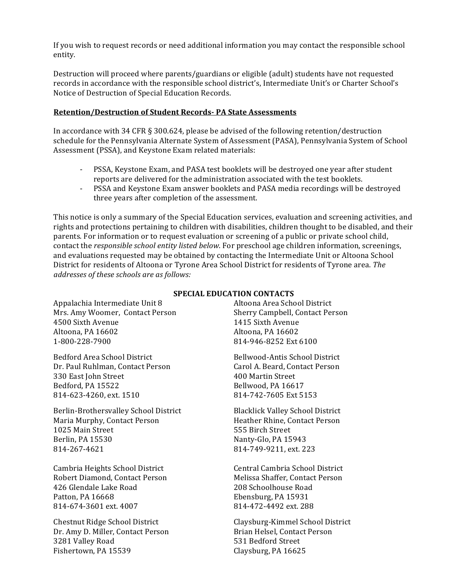If you wish to request records or need additional information you may contact the responsible school entity.

Destruction will proceed where parents/guardians or eligible (adult) students have not requested records in accordance with the responsible school district's, Intermediate Unit's or Charter School's Notice of Destruction of Special Education Records.

#### **Retention/Destruction of Student Records- PA State Assessments**

In accordance with 34 CFR  $\S 300.624$ , please be advised of the following retention/destruction schedule for the Pennsylvania Alternate System of Assessment (PASA), Pennsylvania System of School Assessment (PSSA), and Keystone Exam related materials:

- PSSA, Keystone Exam, and PASA test booklets will be destroyed one year after student reports are delivered for the administration associated with the test booklets.
- PSSA and Keystone Exam answer booklets and PASA media recordings will be destroyed three years after completion of the assessment.

This notice is only a summary of the Special Education services, evaluation and screening activities, and rights and protections pertaining to children with disabilities, children thought to be disabled, and their parents. For information or to request evaluation or screening of a public or private school child, contact the *responsible school entity listed below*. For preschool age children information, screenings, and evaluations requested may be obtained by contacting the Intermediate Unit or Altoona School District for residents of Altoona or Tyrone Area School District for residents of Tyrone area. The addresses of these schools are as follows:

Appalachia Intermediate Unit 8 Mrs. Amy Woomer, Contact Person 4500 Sixth Avenue Altoona, PA 16602 1-800-228-7900

Bedford Area School District Dr. Paul Ruhlman, Contact Person 330 East John Street Bedford, PA 15522 814-623-4260, ext. 1510

Berlin-Brothersvalley School District Maria Murphy, Contact Person 1025 Main Street Berlin, PA 15530 814-267-4621

Cambria Heights School District Robert Diamond, Contact Person 426 Glendale Lake Road Patton, PA 16668 814-674-3601 ext. 4007

Chestnut Ridge School District Dr. Amy D. Miller, Contact Person 3281 Valley Road Fishertown, PA 15539

#### **SPECIAL EDUCATION CONTACTS**

Altoona Area School District Sherry Campbell, Contact Person 1415 Sixth Avenue Altoona, PA 16602 814-946-8252 Ext 6100

Bellwood-Antis School District Carol A. Beard, Contact Person 400 Martin Street Bellwood, PA 16617 814-742-7605 Ext 5153

Blacklick Valley School District Heather Rhine, Contact Person 555 Birch Street Nanty-Glo, PA 15943 814-749-9211, ext. 223

Central Cambria School District Melissa Shaffer, Contact Person 208 Schoolhouse Road Ebensburg, PA 15931 814-472-4492 ext. 288

Claysburg-Kimmel School District Brian Helsel, Contact Person 531 Bedford Street Claysburg, PA 16625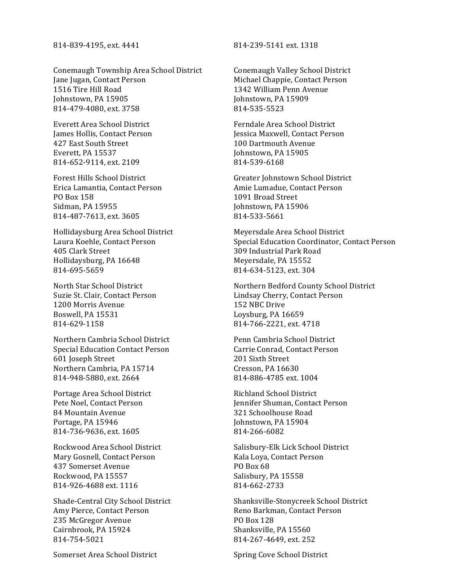#### 814-839-4195, ext. 4441 814-239-5141 ext. 1318

Conemaugh Township Area School District Jane Jugan, Contact Person 1516 Tire Hill Road Johnstown, PA 15905 814-479-4080, ext. 3758

Everett Area School District James Hollis, Contact Person 427 East South Street Everett, PA 15537 814-652-9114, ext. 2109

Forest Hills School District Erica Lamantia, Contact Person PO Box 158 Sidman, PA 15955 814-487-7613, ext. 3605

Hollidaysburg Area School District Laura Koehle, Contact Person 405 Clark Street Hollidaysburg, PA 16648 814-695-5659

North Star School District Suzie St. Clair, Contact Person 1200 Morris Avenue Boswell, PA 15531 814-629-1158

Northern Cambria School District Special Education Contact Person 601 Joseph Street Northern Cambria, PA 15714 814-948-5880, ext. 2664

Portage Area School District Pete Noel, Contact Person 84 Mountain Avenue Portage, PA 15946 814-736-9636, ext. 1605

Rockwood Area School District Mary Gosnell, Contact Person 437 Somerset Avenue Rockwood, PA 15557 814-926-4688 ext. 1116

Shade-Central City School District Amy Pierce, Contact Person 235 McGregor Avenue Cairnbrook, PA 15924 814-754-5021

Somerset Area School District Spring Cove School District

Conemaugh Valley School District Michael Chappie, Contact Person 1342 William Penn Avenue Johnstown, PA 15909 814-535-5523

Ferndale Area School District Jessica Maxwell, Contact Person 100 Dartmouth Avenue Johnstown, PA 15905 814-539-6168

Greater Johnstown School District Amie Lumadue, Contact Person 1091 Broad Street Johnstown, PA 15906 814-533-5661

Meyersdale Area School District Special Education Coordinator, Contact Person 309 Industrial Park Road Meyersdale, PA 15552 814-634-5123, ext. 304

Northern Bedford County School District Lindsay Cherry, Contact Person 152 NBC Drive Loysburg, PA 16659 814-766-2221, ext. 4718

Penn Cambria School District Carrie Conrad, Contact Person 201 Sixth Street Cresson, PA 16630 814-886-4785 ext. 1004

Richland School District Jennifer Shuman, Contact Person 321 Schoolhouse Road Johnstown, PA 15904 814-266-6082

Salisbury-Elk Lick School District Kala Loya, Contact Person PO Box 68 Salisbury, PA 15558 814-662-2733

Shanksville-Stonycreek School District Reno Barkman, Contact Person PO Box 128 Shanksville, PA 15560 814-267-4649, ext. 252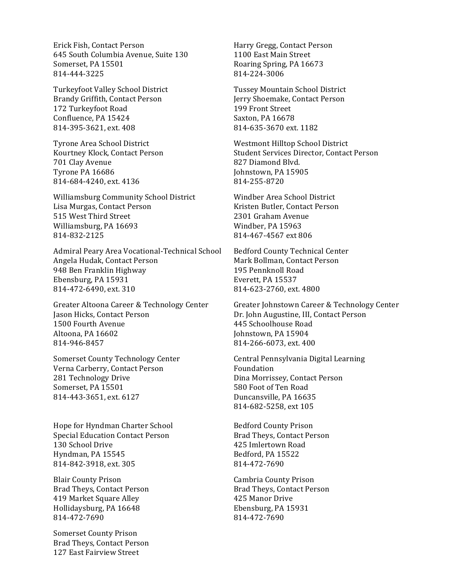Erick Fish, Contact Person 645 South Columbia Avenue, Suite 130 Somerset, PA 15501 814-444-3225

Turkeyfoot Valley School District Brandy Griffith, Contact Person 172 Turkeyfoot Road Confluence, PA 15424 814-395-3621, ext. 408

Tyrone Area School District Kourtney Klock, Contact Person 701 Clay Avenue Tyrone PA 16686 814-684-4240, ext. 4136

Williamsburg Community School District Lisa Murgas, Contact Person 515 West Third Street Williamsburg, PA 16693 814-832-2125

Admiral Peary Area Vocational-Technical School Angela Hudak, Contact Person 948 Ben Franklin Highway Ebensburg, PA 15931 814-472-6490, ext. 310

Greater Altoona Career & Technology Center Jason Hicks, Contact Person 1500 Fourth Avenue Altoona, PA 16602 814-946-8457

Somerset County Technology Center Verna Carberry, Contact Person 281 Technology Drive Somerset, PA 15501 814-443-3651, ext. 6127

Hope for Hyndman Charter School Special Education Contact Person 130 School Drive Hyndman, PA 15545 814-842-3918, ext. 305

**Blair County Prison** Brad Theys, Contact Person 419 Market Square Alley Hollidaysburg, PA 16648 814-472-7690

Somerset County Prison Brad Theys, Contact Person 127 East Fairview Street

Harry Gregg, Contact Person 1100 East Main Street Roaring Spring, PA 16673 814-224-3006

Tussey Mountain School District Jerry Shoemake, Contact Person 199 Front Street Saxton, PA 16678 814-635-3670 ext. 1182

Westmont Hilltop School District Student Services Director, Contact Person 827 Diamond Blvd. Johnstown, PA 15905 814-255-8720

Windber Area School District Kristen Butler, Contact Person 2301 Graham Avenue Windber, PA 15963 814-467-4567 ext 806

Bedford County Technical Center Mark Bollman, Contact Person 195 Pennknoll Road Everett, PA 15537 814-623-2760, ext. 4800

Greater Johnstown Career & Technology Center Dr. John Augustine, III, Contact Person 445 Schoolhouse Road Johnstown, PA 15904 814-266-6073, ext. 400

Central Pennsylvania Digital Learning Foundation Dina Morrissey, Contact Person 580 Foot of Ten Road Duncansville, PA 16635 814-682-5258, ext 105

Bedford County Prison Brad Theys, Contact Person 425 Imlertown Road Bedford, PA 15522 814-472-7690

Cambria County Prison Brad Theys, Contact Person 425 Manor Drive Ebensburg, PA 15931 814-472-7690